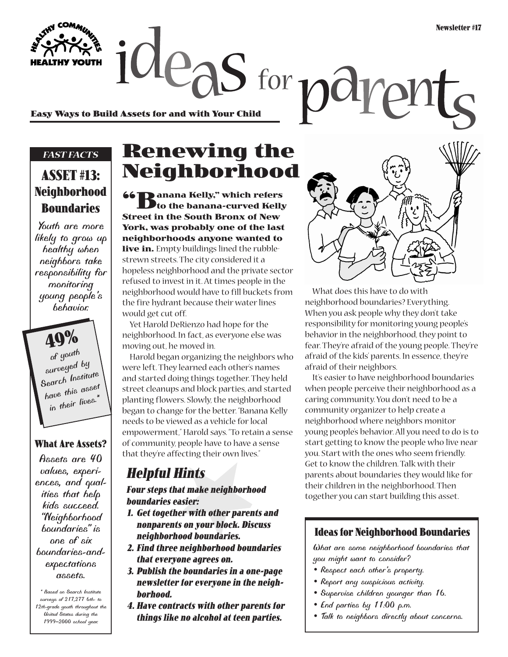$2e$  as for  $p$ a **Easy Ways to Build Assets for and with Your Child**

### *FAST FACTS*

### **ASSET #13: Neighborhood Boundaries**

*Youth are more likely to grow up healthy when neighbors take responsibility for monitoring young people's behavior.*

**49%** *of youth surveyed by Search Institute have this asset in their lives.\**

#### **What Are Assets?**

*Assets are 40 values, experiences, and qualities that help kids succeed. "Neighborhood boundaries" is one of six boundaries-andexpectations assets.*

*\* Based on Search Institute surveys of 217,277 6th- to 12th-grade youth throughout the United States during the 1999–2000 school year.*

# **Renewing the Neighborhood**

**66 D** anana Kelly," which refers **to the banana-curved Kelly Street in the South Bronx of New York, was probably one of the last neighborhoods anyone wanted to live in.** Empty buildings lined the rubblestrewn streets. The city considered it a hopeless neighborhood and the private sector refused to invest in it. At times people in the neighborhood would have to fill buckets from the fire hydrant because their water lines would get cut off.

Yet Harold DeRienzo had hope for the neighborhood. In fact, as everyone else was moving out, he moved in.

Harold began organizing the neighbors who were left. They learned each other's names and started doing things together. They held street cleanups and block parties, and started planting flowers. Slowly, the neighborhood began to change for the better. "Banana Kelly needs to be viewed as a vehicle for local empowerment," Harold says. "To retain a sense of community, people have to have a sense that they're affecting their own lives."

## **Helpful Hints**

**Four steps that make neighborhood boundaries easier:**

- **1. Get together with other parents and nonparents on your block. Discuss neighborhood boundaries.**
- **2. Find three neighborhood boundaries that everyone agrees on.**
- **3. Publish the boundaries in a one-page newsletter for everyone in the neighborhood.**
- **4. Have contracts with other parents for things like no alcohol at teen parties.**



ph

What does this have to do with neighborhood boundaries? Everything. When you ask people why they don't take responsibility for monitoring young people's behavior in the neighborhood, they point to fear. They're afraid of the young people. They're afraid of the kids' parents. In essence, they're afraid of their neighbors.

It's easier to have neighborhood boundaries when people perceive their neighborhood as a caring community. You don't need to be a community organizer to help create a neighborhood where neighbors monitor young people's behavior. All you need to do is to start getting to know the people who live near you. Start with the ones who seem friendly. Get to know the children. Talk with their parents about boundaries they would like for their children in the neighborhood. Then together you can start building this asset.

#### **Ideas for Neighborhood Boundaries**

*What are some neighborhood boundaries that you might want to consider?*

- *Respect each other's property.*
- *Report any suspicious activity.*
- *Supervise children younger than 16.*
- *End parties by 11:00 p.m.*
- *Talk to neighbors directly about concerns.*